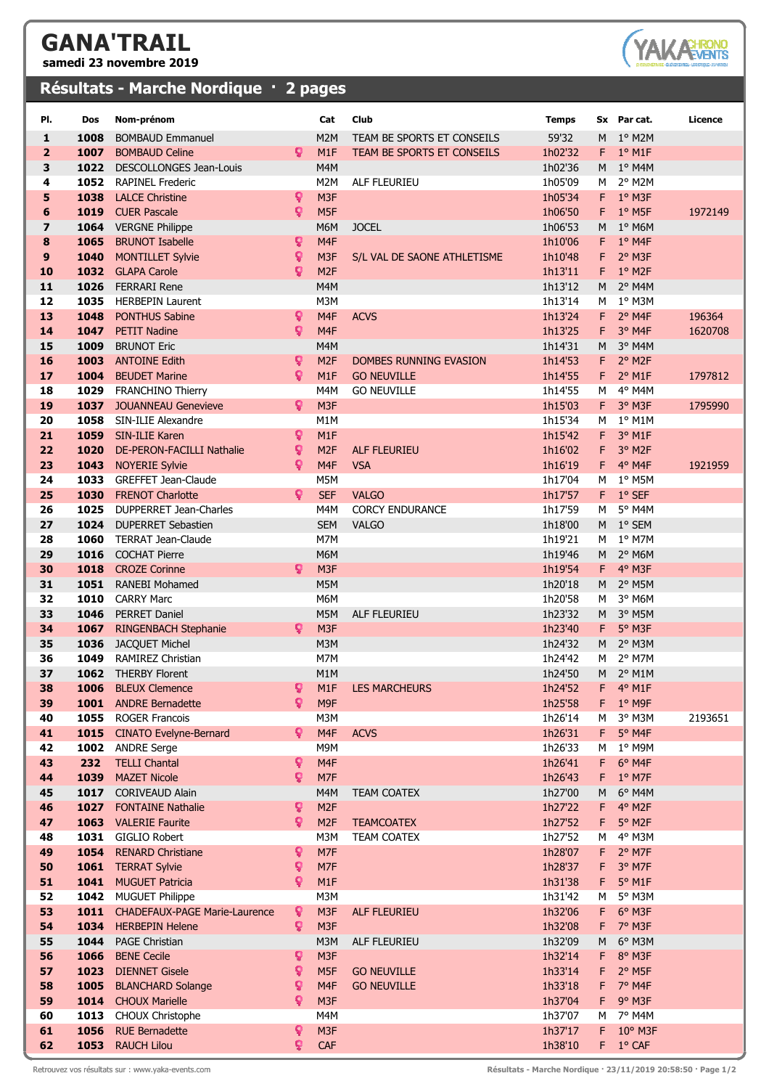## **GANA'TRAIL**

**samedi 23 novembre 2019**

## **Résultats - Marche Nordique · 2 pages**



| PI.                     | Dos          | Nom-prénom                                                 |          | Cat                 | <b>Club</b>                              | <b>Temps</b>       |         | Sx Par cat.                    | Licence |
|-------------------------|--------------|------------------------------------------------------------|----------|---------------------|------------------------------------------|--------------------|---------|--------------------------------|---------|
| 1                       | 1008         | <b>BOMBAUD Emmanuel</b>                                    |          | M <sub>2</sub> M    | TEAM BE SPORTS ET CONSEILS               | 59'32              | M       | 1° M2M                         |         |
| $\overline{\mathbf{2}}$ | 1007         | <b>BOMBAUD Celine</b>                                      | Q.       | M1F                 | TEAM BE SPORTS ET CONSEILS               | 1h02'32            | F.      | $1^{\circ}$ M1F                |         |
| 3                       |              | 1022 DESCOLLONGES Jean-Louis                               |          | M4M                 |                                          | 1h02'36            |         | M 1° M4M                       |         |
| 4                       |              | 1052 RAPINEL Frederic                                      |          | M2M                 | ALF FLEURIEU                             | 1h05'09            | M       | 2° M2M                         |         |
| 5                       | 1038         | <b>LALCE Christine</b>                                     | Q.       | M <sub>3F</sub>     |                                          | 1h05'34            | F.      | $1^\circ$ M3F                  |         |
| 6                       | 1019         | <b>CUER Pascale</b>                                        | Q.       | M <sub>5F</sub>     |                                          | 1h06'50            | F.      | $1^\circ$ M5F                  | 1972149 |
| $\overline{ }$          | 1064         | <b>VERGNE Philippe</b>                                     |          | M6M                 | <b>JOCEL</b>                             | 1h06'53            | M       | $1^\circ$ M6M                  |         |
| 8                       | 1065         | <b>BRUNOT Isabelle</b>                                     | Q        | M4F                 |                                          | 1h10'06            | F.      | $1^\circ$ M4F                  |         |
| 9                       | 1040         | <b>MONTILLET Sylvie</b>                                    | ្        | M <sub>3F</sub>     | S/L VAL DE SAONE ATHLETISME              | 1h10'48            | F       | 2° M3F                         |         |
| 10                      |              | 1032 GLAPA Carole                                          | Q.       | M <sub>2F</sub>     |                                          | 1h13'11            | F.      | $1^\circ$ M2F                  |         |
| 11                      | 1026         | <b>FERRARI Rene</b>                                        |          | M4M                 |                                          | 1h13'12            |         | M 2° M4M                       |         |
| 12                      | 1035         | <b>HERBEPIN Laurent</b>                                    |          | M3M                 |                                          | 1h13'14            |         | M 1º M3M                       |         |
| 13                      | 1048         | <b>PONTHUS Sabine</b>                                      | Q.       | M4F                 | <b>ACVS</b>                              | 1h13'24            |         | $F = 2^{\circ}$ M4F            | 196364  |
| 14                      | 1047         | <b>PETIT Nadine</b>                                        | ò        | M4F                 |                                          | 1h13'25            | F.      | 3° M4F                         | 1620708 |
| 15                      | 1009         | <b>BRUNOT Eric</b>                                         |          | M4M                 |                                          | 1h14'31            | M       | 3° M4M                         |         |
| 16                      | 1003         | <b>ANTOINE Edith</b>                                       | <u>Q</u> | M <sub>2F</sub>     | DOMBES RUNNING EVASION                   | 1h14'53            | F.      | 2° M2F                         |         |
| 17<br>18                | 1004<br>1029 | <b>BEUDET Marine</b>                                       | Q.       | M1F<br>M4M          | <b>GO NEUVILLE</b><br><b>GO NEUVILLE</b> | 1h14'55<br>1h14'55 | F.      | $2°$ M <sub>1F</sub><br>4° M4M | 1797812 |
| 19                      | 1037         | FRANCHINO Thierry<br><b>JOUANNEAU Genevieve</b>            | Q.       | M <sub>3F</sub>     |                                          |                    | M<br>F. | 3° M3F                         | 1795990 |
| 20                      | 1058         | SIN-ILIE Alexandre                                         |          | M1M                 |                                          | 1h15'03<br>1h15'34 | М       | $1^{\circ}$ M1M                |         |
| 21                      | 1059         | SIN-ILIE Karen                                             | Q        | M <sub>1F</sub>     |                                          | 1h15'42            | F.      | 3° M1F                         |         |
| 22                      | 1020         | DE-PERON-FACILLI Nathalie                                  | Q        | M <sub>2F</sub>     | <b>ALF FLEURIEU</b>                      | 1h16'02            | F       | 3° M2F                         |         |
| 23                      | 1043         | <b>NOYERIE Sylvie</b>                                      | Q.       | M4F                 | <b>VSA</b>                               | 1h16'19            | F.      | $4^{\circ}$ M4F                | 1921959 |
| 24                      | 1033         | <b>GREFFET Jean-Claude</b>                                 |          | M5M                 |                                          | 1h17'04            | M       | $1^{\circ}$ M5M                |         |
| 25                      | 1030         | <b>FRENOT Charlotte</b>                                    | Q.       | <b>SEF</b>          | <b>VALGO</b>                             | 1h17'57            |         | F 1° SEF                       |         |
| 26                      | 1025         | DUPPERRET Jean-Charles                                     |          | M4M                 | <b>CORCY ENDURANCE</b>                   | 1h17'59            | M       | 5° M4M                         |         |
| 27                      | 1024         | <b>DUPERRET Sebastien</b>                                  |          | <b>SEM</b>          | <b>VALGO</b>                             | 1h18'00            |         | M 1º SEM                       |         |
| 28                      | 1060         | <b>TERRAT Jean-Claude</b>                                  |          | M7M                 |                                          | 1h19'21            |         | M 1º M7M                       |         |
| 29                      | 1016         | <b>COCHAT Pierre</b>                                       |          | M6M                 |                                          | 1h19'46            |         | M 2° M6M                       |         |
| 30                      | 1018         | <b>CROZE Corinne</b>                                       | Q.       | M <sub>3F</sub>     |                                          | 1h19'54            |         | $F$ 4° M3F                     |         |
| 31                      | 1051         | <b>RANEBI Mohamed</b>                                      |          | M5M                 |                                          | 1h20'18            | M       | $2°$ M5M                       |         |
| 32                      | 1010         | <b>CARRY Marc</b>                                          |          | M6M                 |                                          | 1h20'58            | M       | 3° M6M                         |         |
| 33                      | 1046         | <b>PERRET Daniel</b>                                       |          | M5M                 | <b>ALF FLEURIEU</b>                      | 1h23'32            | M       | $3^{\circ}$ M5M                |         |
| 34                      | 1067         | RINGENBACH Stephanie                                       | Q.       | M <sub>3F</sub>     |                                          | 1h23'40            | F.      | 5° M3F                         |         |
| 35<br>36                | 1036<br>1049 | <b>JACQUET Michel</b><br><b>RAMIREZ Christian</b>          |          | M3M<br>M7M          |                                          | 1h24'32<br>1h24'42 |         | M 2° M3M<br>M 2° M7M           |         |
| 37                      |              | 1062 THERBY Florent                                        |          | M <sub>1</sub> M    |                                          | 1h24'50            |         | M 2° M1M                       |         |
| 38                      |              | 1006 BLEUX Clemence                                        |          | $9$ M <sub>1F</sub> | <b>LES MARCHEURS</b>                     | 1h24'52            |         | $F$ 4° M1F                     |         |
| 39                      |              | 1001 ANDRE Bernadette                                      | Q        | M9F                 |                                          | 1h25'58            | F.      | $1°$ M9F                       |         |
| 40                      | 1055         | <b>ROGER Francois</b>                                      |          | M3M                 |                                          | 1h26'14            | м       | 3° M3M                         | 2193651 |
| 41                      | 1015         | <b>CINATO Evelyne-Bernard</b>                              | Q.       | M4F                 | <b>ACVS</b>                              | 1h26'31            | F.      | 5° M4F                         |         |
| 42                      | 1002         | <b>ANDRE Serge</b>                                         |          | M9M                 |                                          | 1h26'33            | м       | $1^\circ$ M9M                  |         |
| 43                      | 232          | <b>TELLI Chantal</b>                                       | Q        | M4F                 |                                          | 1h26'41            | F.      | 6° M4F                         |         |
| 44                      | 1039         | <b>MAZET Nicole</b>                                        | Q.       | M7F                 |                                          | 1h26'43            | F.      | $1^{\circ}$ M7F                |         |
| 45                      | 1017         | <b>CORIVEAUD Alain</b>                                     |          | M4M                 | <b>TEAM COATEX</b>                       | 1h27'00            | M       | 6° M4M                         |         |
| 46                      | 1027         | <b>FONTAINE Nathalie</b>                                   | Q        | M <sub>2F</sub>     |                                          | 1h27'22            | F       | 4° M2F                         |         |
| 47                      |              | 1063 VALERIE Faurite                                       | Q.       | M <sub>2F</sub>     | <b>TEAMCOATEX</b>                        | 1h27'52            | F.      | 5° M2F                         |         |
| 48                      | 1031         | GIGLIO Robert                                              |          | M3M                 | TEAM COATEX                              | 1h27'52            | м       | $4^{\circ}$ M3M                |         |
| 49                      | 1054         | <b>RENARD Christiane</b>                                   | ្        | M7F                 |                                          | 1h28'07            | F.      | 2° M7F                         |         |
| 50                      | 1061         | <b>TERRAT Sylvie</b>                                       | ò        | M7F                 |                                          | 1h28'37            | F       | 3° M7F                         |         |
| 51                      |              | 1041 MUGUET Patricia                                       | Q.       | M1F                 |                                          | 1h31'38            | F.      | 5° M1F<br>5° M3M               |         |
| 52<br>53                |              | 1042 MUGUET Philippe<br>1011 CHADEFAUX-PAGE Marie-Laurence | ្        | M3M<br>M3F          | ALF FLEURIEU                             | 1h31'42<br>1h32'06 | м<br>F  | 6° M3F                         |         |
| 54                      | 1034         | <b>HERBEPIN Helene</b>                                     | Q.       | M <sub>3F</sub>     |                                          | 1h32'08            | F.      | $7^\circ$ M3F                  |         |
| 55                      | 1044         | <b>PAGE Christian</b>                                      |          | M3M                 | ALF FLEURIEU                             | 1h32'09            | M       | 6° M3M                         |         |
| 56                      | 1066         | <b>BENE Cecile</b>                                         | Q.       | M <sub>3F</sub>     |                                          | 1h32'14            | F.      | 8° M3F                         |         |
| 57                      | 1023         | <b>DIENNET Gisele</b>                                      | ្        | M <sub>5F</sub>     | <b>GO NEUVILLE</b>                       | 1h33'14            | F.      | $2°$ M <sub>5F</sub>           |         |
| 58                      | 1005         | <b>BLANCHARD Solange</b>                                   | ò        | M <sub>4F</sub>     | <b>GO NEUVILLE</b>                       | 1h33'18            | F       | 7° M4F                         |         |
| 59                      | 1014         | <b>CHOUX Marielle</b>                                      | Q        | M <sub>3F</sub>     |                                          | 1h37'04            | F.      | 9° M3F                         |         |
| 60                      | 1013         | CHOUX Christophe                                           |          | M4M                 |                                          | 1h37'07            |         | $M$ 7° M4M                     |         |
| 61                      | 1056         | <b>RUE Bernadette</b>                                      | ¥        | M <sub>3F</sub>     |                                          | 1h37'17            |         | F 10° M3F                      |         |
| 62                      |              | 1053 RAUCH Lilou                                           | Q.       | CAF                 |                                          | 1h38'10            |         | F 1° CAF                       |         |

Retrouvez vos résultats sur : www.yaka-events.com **Résultats - Marche Nordique · 23/11/2019 20:58:50 · Page 1/2**